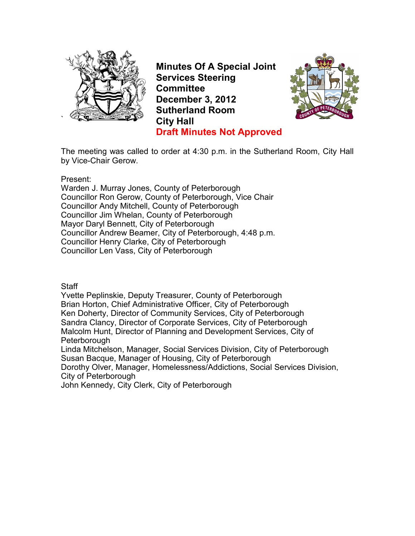

**Minutes Of A Special Joint Services Steering Committee December 3, 2012 Sutherland Room City Hall Draft Minutes Not Approved**



The meeting was called to order at 4:30 p.m. in the Sutherland Room, City Hall by Vice-Chair Gerow.

Present:

Warden J. Murray Jones, County of Peterborough Councillor Ron Gerow, County of Peterborough, Vice Chair Councillor Andy Mitchell, County of Peterborough Councillor Jim Whelan, County of Peterborough Mayor Daryl Bennett, City of Peterborough Councillor Andrew Beamer, City of Peterborough, 4:48 p.m. Councillor Henry Clarke, City of Peterborough Councillor Len Vass, City of Peterborough

**Staff** 

Yvette Peplinskie, Deputy Treasurer, County of Peterborough Brian Horton, Chief Administrative Officer, City of Peterborough Ken Doherty, Director of Community Services, City of Peterborough Sandra Clancy, Director of Corporate Services, City of Peterborough Malcolm Hunt, Director of Planning and Development Services, City of Peterborough

Linda Mitchelson, Manager, Social Services Division, City of Peterborough Susan Bacque, Manager of Housing, City of Peterborough

Dorothy Olver, Manager, Homelessness/Addictions, Social Services Division, City of Peterborough

John Kennedy, City Clerk, City of Peterborough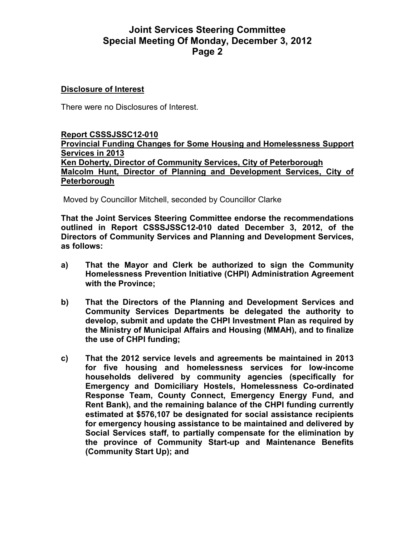# **Joint Services Steering Committee Special Meeting Of Monday, December 3, 2012 Page 2**

#### **Disclosure of Interest**

There were no Disclosures of Interest.

#### **Report CSSSJSSC12-010 Provincial Funding Changes for Some Housing and Homelessness Support Services in 2013 Ken Doherty, Director of Community Services, City of Peterborough Malcolm Hunt, Director of Planning and Development Services, City of Peterborough**

Moved by Councillor Mitchell, seconded by Councillor Clarke

**That the Joint Services Steering Committee endorse the recommendations outlined in Report CSSSJSSC12-010 dated December 3, 2012, of the Directors of Community Services and Planning and Development Services, as follows:** 

- **a) That the Mayor and Clerk be authorized to sign the Community Homelessness Prevention Initiative (CHPI) Administration Agreement with the Province;**
- **b) That the Directors of the Planning and Development Services and Community Services Departments be delegated the authority to develop, submit and update the CHPI Investment Plan as required by the Ministry of Municipal Affairs and Housing (MMAH), and to finalize the use of CHPI funding;**
- **c) That the 2012 service levels and agreements be maintained in 2013 for five housing and homelessness services for low-income households delivered by community agencies (specifically for Emergency and Domiciliary Hostels, Homelessness Co-ordinated Response Team, County Connect, Emergency Energy Fund, and Rent Bank), and the remaining balance of the CHPI funding currently estimated at \$576,107 be designated for social assistance recipients for emergency housing assistance to be maintained and delivered by Social Services staff, to partially compensate for the elimination by the province of Community Start-up and Maintenance Benefits (Community Start Up); and**